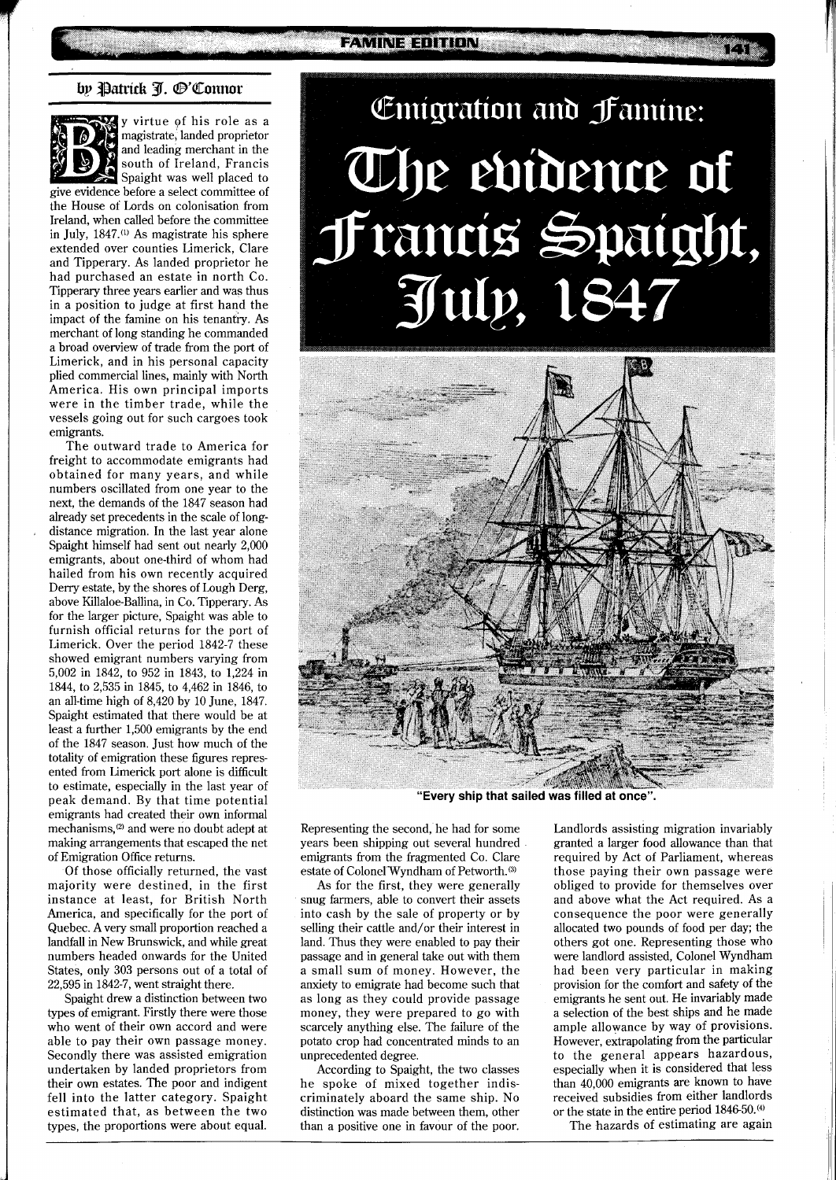## by Patrick J. ®'Connor



y virtue of his role as a magistrate, landed proprietor and leading merchant in the south of Ireland, Francis Spaight was well placed to give evidence before a select committee of the House of Lords on colonisation from

Ireland, when called before the committee in July, 1847.<sup>(1)</sup> As magistrate his sphere extended over counties Limerick, Clare and Tipperary. As landed proprietor he had purchased an estate in north Co. Tipperary three years earlier and was thus in a position to judge at first hand the impact of the famine on his tenantry. As merchant of long standing he commanded a broad overview of trade from the port of Limerick, and in his personal capacity plied commercial lines, mainly with North America. His own principal imports were in the timber trade, while the vessels going out for such cargoes took emigrants.

The outward trade to America for freight to accommodate emigrants had obtained for many years, and while numbers oscillated from one year to the next, the demands of the 1847 season had already set precedents in the scale of longdistance migration. In the last year alone Spaight himself had sent out nearly 2,000 emigrants, about one-third of whom had hailed from his own recently acquired Deny estate, by the shores of Lough Derg, above Killaloe-Ballina, in Co. Tipperary. As for the larger picture, Spaight was able to furnish official returns for the port of Limerick. Over the period 1842-7 these showed emigrant numbers varying from 5,002 in 1842, to 952 in 1843, to 1,224 in 1844, to 2,535 in 1845, to 4,462 in 1846, to an all-time high of 8,420 by 10 June, 1847. Spaight estimated that there would be at least a further 1,500 emigrants by the end of the 1847 season. Just how much of the totality of emigration these figures represented from Limerick port alone is difficult to estimate, especially in the last year of peak demand. By that time potential emigrants had created their own informal mechanisms,<sup>(2)</sup> and were no doubt adept at making arrangements that escaped the net of Emigration Office returns.

Of those officially returned, the vast majority were destined, in the first instance at least, for British North America, and specifically for the port of Quebec. A very small proportion reached a landfall in New Brunswick, and while great numbers headed onwards for the United States, only 303 persons out of a total of 22,595 in 1842-7, went straight there.

Spaight drew a distinction between two types of emigrant. Firstly there were those who went of their own accord and were able to pay their own passage money. Secondly there was assisted emigration undertaken by landed proprietors from their own estates. The poor and indigent fell into the latter category. Spaight estimated that, as between the two types, the proportions were about equal.

# Emigration and Jamine: The evidence of Francis Spaight, July, 1847



**"Every ship that sailed was filled at once".** 

Representing the second, he had for some years been shipping out several hundred emigrants from the fragmented Co. Clare estate of Colonel Wyndham of Petworth.<sup>(3)</sup>

As for the first, they were generally snug farmers, able to convert their assets into cash by the sale of property or by selling their cattle and/or their interest in land. Thus they were enabled to pay their passage and in general take out with them a small sum of money. However, the anxiety to emigrate had become such that as long as they could provide passage money, they were prepared to go with scarcely anything else. The failure of the potato crop had concentrated minds to an unprecedented degree.

According to Spaight, the two classes he spoke of mixed together indiscriminately aboard the same ship. No distinction was made between them, other than a positive one in favour of the poor.

Landlords assisting migration invariably granted a larger food allowance than that required by Act of Parliament, whereas those paying their own passage were obliged to provide for themselves over and above what the Act required. As a consequence the poor were generally allocated two pounds of food per day; the others got one. Representing those who were landlord assisted, Colonel Wyndham had been very particular in making provision for the comfort and safety of the emigrants he sent out. He invariably made a selection of the best ships and he made ample allowance by way of provisions. However, extrapolating from the particular to the general appears hazardous, especially when it is considered that less than 40,000 emigrants are known to have received subsidies from either landlords or the state in the entire period 1846-50.<sup>(4)</sup>

The hazards of estimating are again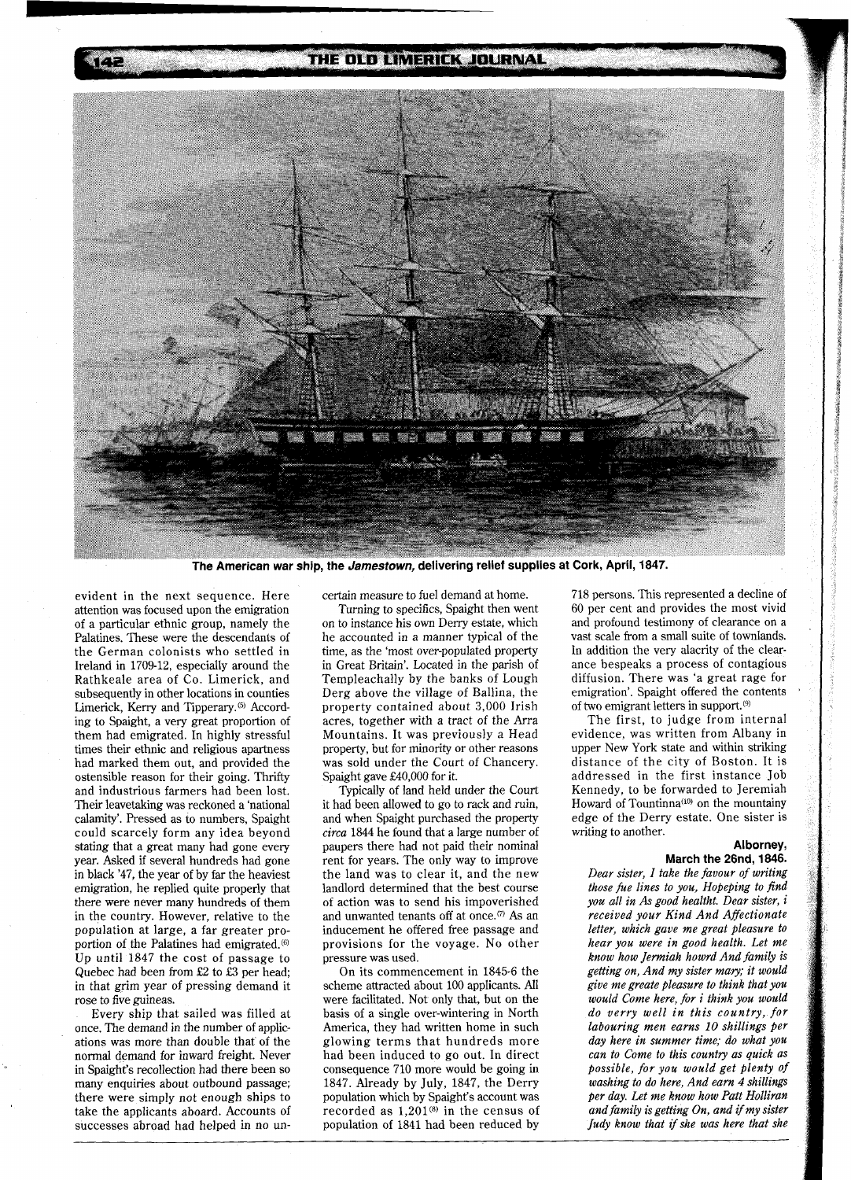## THE OLD LIMERICK JOURNAL



The American war ship, the Jamestown, delivering relief supplies at Cork, April, 1847.

evident in the next sequence. Here attention was focused upon the emigration of a particular ethnic group, namely the Palatines. These were the descendants of the German colonists who settled in Ireland in 1709-12, especially around the Rathkeale area of Co. Limerick, and subsequently in other locations in counties Limerick, Kerry and Tipperary.<sup>(5)</sup> According to Spaight, a very great proportion of them had emigrated. In highly stressful times their ethnic and religious apartness had marked them out, and provided the ostensible reason for their going. Thrifty and industrious farmers had been lost. Their leavetaking was reckoned a 'national calamity'. Pressed as to numbers, Spaight could scarcely form any idea beyond stating that a great many had gone every year. Asked if several hundreds had gone in black '47, the year of by far the heaviest emigration, he replied quite properly that there were never many hundreds of them in the country. However, relative to the population at large, a far greater proportion of the Palatines had emigrated.<sup>66</sup> Up until 1847 the cost of passage to Quebec had been from **£2** to £3 per head; in that grim year of pressing demand it rose to five guineas.

Every ship that sailed was filled at once. The demand in the number of applications was more than double that of the normal demand for inward freight. Never in Spaight's recollection had there been so many enquiries about outbound passage; there were simply not enough ships to take the applicants aboard. Accounts of successes abroad had helped in no uncertain measure to fuel demand at home.

Turning to specifics, Spaight then went on to instance his own Deny estate, which he accounted in a manner typical of the time, as the 'most over-populated property in Great Britain'. Located in the parish of Templeachally by the banks of Lough Derg above the village of Ballina, the property contained about 3,000 Irish acres, together with a tract of the Arra Mountains. It was previously a Head property, but for minority or other reasons was sold under the Court of Chancery. Spaight gave £40,000 for it.

Typically of land held under the Court it had been allowed to go to rack and ruin, and when Spaight purchased the property *circa* 1844 he found that a large number of paupers there had not paid their nominal rent for years. The only way to improve the land was to clear it, and the new landlord determined that the best course of action was to send his impoverished and unwanted tenants off at once.<sup> $(7)$ </sup> As an inducement he offered free passage and provisions for the voyage. No other pressure was used.

On its commencement in 1845-6 the scheme attracted about 100 applicants. All were facilitated. Not only that, but on the basis of a single over-wintering in North America, they had written home in such glowing terms that hundreds more had been induced to go out. In direct consequence 710 more would be going in 1847. Already by July, 1847, the Derry population which by Spaight's account was recorded as  $1,201^{(8)}$  in the census of population of 1841 had been reduced by

718 persons. This represented a decline of 60 per cent and provides the most vivid and profound testimony of clearance on a vast scale from a small suite of townlands. In addition the very alacrity of the clearance bespeaks a process of contagious diffusion. There was 'a great rage for emigration'. Spaight offered the contents of two emigrant letters in support.<sup>(9)</sup>

The first, to judge from internal evidence, was written from Albany in upper New York state and within striking distance of the city of Boston. It is addressed in the first instance Job Rennedy, to be forwarded to Jeremiah Howard of Tountinna<sup>(10)</sup> on the mountainy edge of the Derry estate. One sister is writing to another.

#### **Alborney, March the 26nd,** *1846.*

*Dear sister, I take the favour of writing those be lines to you, Hopeping to find you all in As good healtht. Dear sister, i received your Kind And Afectionate letter, which gave me great pleasure to hear you were in good health. Let me know how Jermiah howrd And family is getting on, And my sister mary; it would give me greate pleasure to think that you would Come here, for i think you would do verry well in this country, for laboum'ng men earns 10 shillings per day here in summer time; do what you*   $can to Come to this country as quick as$ *possible, for* yozc *would get plenty of washing to do here, And earn 4 shillings per day. Let me know how Patt Holliran and family is getting On, and if my sister Judy know that ifshe was here that she* 

14 E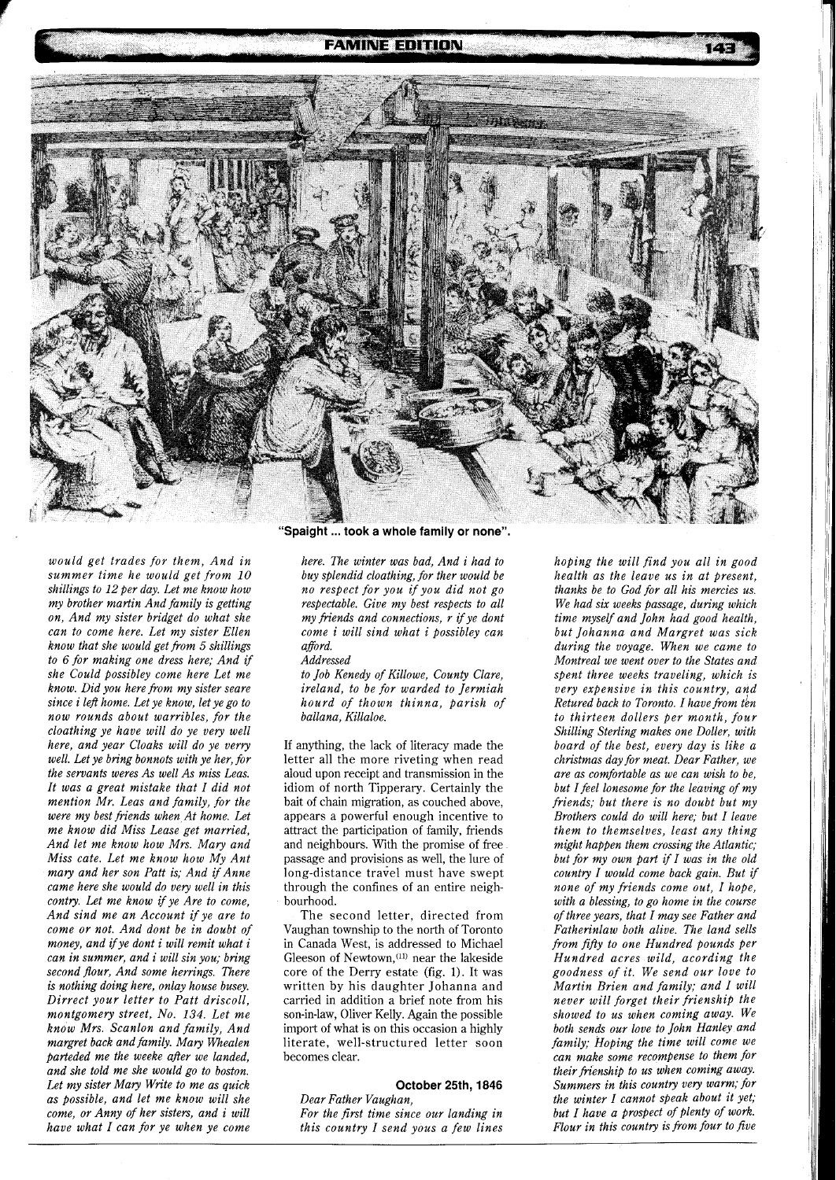## **FAMINE EDITION**



*would get trades for them, And in summer time he would get from 10*  shillings to 12 per day. Let me know how *my brother martin And family is getting on, And my sister bridget do what she can to come here. Let my sister Ellen know that she would get from 5 shillings to 6 for making one dress here; And if she Could possibley come here Let me know. Did you here from my sister seare since i left home. Let ye know, let ye go to now rounds about warribles, for the cloathing ye have will do ye very well here, and year Cloaks will do ye verry well. Let ye bring bonnots with ye her, for the servants weres As well As miss Leas. It was a great mistake that I did not mention Mr. Leas and family, for the were my best friends when At home. Let me know did Miss Lease get married, And let me know how Mrs. Mary and Miss cute. Let me know how My Ant mary and her son Putt is; And if Anne came here she would do very well in this contry. Let me know if ye Are to come, And sind me an Account if ye are to come or not. And dont be in doubt of money, and ifye dont i will remit what i can in summer, and i will sin you; bring second .flour, And some herrings. There is nothing doing here, onlay house busey. Dirrect your letter to Putt driscoll, montgomery street, No. 134. Let me know Mrs. Scanlon and family, And margret back and family. Mary Whealen parteded me the weeke after we landed, and she told me she would go to boston. Let my sister Mary Write to me as quick as possible, and let me know will she come, or Anny of her sisters, and i will have what I can for ye when ye come* 

**"Spaight** ... **took a whole family or none".** 

*here. The winter was bad, And i had to buy splendid cloathing, for ther would be no respect for you if you did not go respectable. Give my best respects to all my fiends and connections, r ifye dont come i will sind what i possibley can afford.* 

#### *Addressed*

*to Job Kenedy of Killowe, County Clare, ireland, to be for warded to Jermiah hourd of thown thinna, parish of ballana, Killaloe.* 

If anything, the lack of literacy made the letter all the more riveting when read aloud upon receipt and transmission in the idiom of north Tipperary. Certainly the bait of chain migration, as couched above, appears a powerful enough incentive to attract the participation of family, friends and neighbours. With the promise of free passage and provisions as well, the lure of long-distance travel must have swept through the confines of an entire neighbourhood.

The second letter, directed from Vaughan township to the north of Toronto in Canada West, is addressed to Michael Gleeson of Newtown, $(11)$  near the lakeside core of the Derry estate (fig. 1). It was written by his daughter Johanna and carried in addition a brief note from his son-in-law, Oliver Kelly. Again the possible import of what is on this occasion a highly literate, well-structured letter soon becomes clear.

## **October 25th, 1846**

*Dear Father Vaughan, For the first time since our landing in this country I send yous a few lines* 

*hoping the will find you all in good health as the leave us in at present, thanks be to God for all his mercies us. We had six weeks passage, during which time myself and John had good health, but Johanna and Margret was sick during the voyage. When we came to Montreal we went over to the States and spent three weeks traveling, which is very expensive in this country, and Retured back to Toronto. I have from tbn to thirteen dollers per month, four Shilling Sterling makes one Doller, with board of the best, every day is like a christmas day for meat. Dear Father, we are as comfortable as we can wish to be, but Ifeel lonesome for the leaving of my friends; but there is no doubt but my Brothers could do will here; but I leave them to themselves, least any thing might happen them crossing the Atlantic; but for my own part if I was in the old country I would come back gain. But if none of my friends come out, I hope, with a blessing, to go home in the course of three years, that I may see Father and Fatherinlaw both alive. The land sells from fifty to one Hundred pounds per Hundred acres wild, acording the goodness of it. We send our love to Martin Brien and family; and I will never will forget their frienship the showed to us when coming away. We both sends our love to John Hanley and family; Hoping the time will come we can make some recompense to them for their frienship to us when coming away. Summers in this country very warm; for the winter I cannot speak about it yet; but I have a prospect of plenty of work. Flour in this country is from four to five*